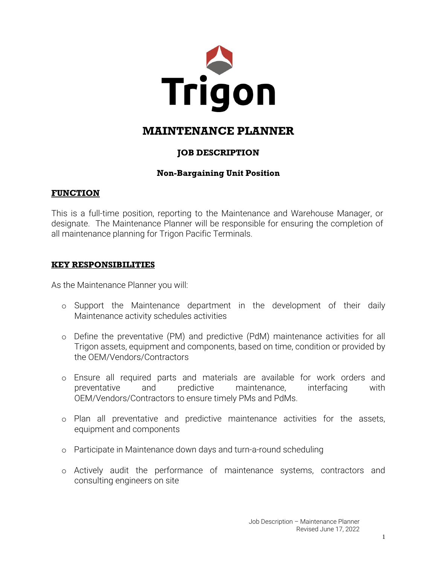

# **MAINTENANCE PLANNER**

# **JOB DESCRIPTION**

### **Non-Bargaining Unit Position**

#### **FUNCTION**

This is a full-time position, reporting to the Maintenance and Warehouse Manager, or designate. The Maintenance Planner will be responsible for ensuring the completion of all maintenance planning for Trigon Pacific Terminals.

#### **KEY RESPONSIBILITIES**

As the Maintenance Planner you will:

- o Support the Maintenance department in the development of their daily Maintenance activity schedules activities
- o Define the preventative (PM) and predictive (PdM) maintenance activities for all Trigon assets, equipment and components, based on time, condition or provided by the OEM/Vendors/Contractors
- o Ensure all required parts and materials are available for work orders and preventative and predictive maintenance, interfacing with OEM/Vendors/Contractors to ensure timely PMs and PdMs.
- o Plan all preventative and predictive maintenance activities for the assets, equipment and components
- o Participate in Maintenance down days and turn-a-round scheduling
- o Actively audit the performance of maintenance systems, contractors and consulting engineers on site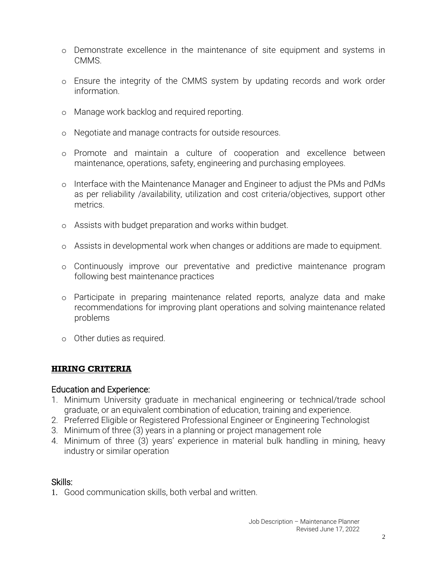- o Demonstrate excellence in the maintenance of site equipment and systems in CMMS.
- o Ensure the integrity of the CMMS system by updating records and work order information.
- o Manage work backlog and required reporting.
- o Negotiate and manage contracts for outside resources.
- o Promote and maintain a culture of cooperation and excellence between maintenance, operations, safety, engineering and purchasing employees.
- o Interface with the Maintenance Manager and Engineer to adjust the PMs and PdMs as per reliability /availability, utilization and cost criteria/objectives, support other metrics.
- o Assists with budget preparation and works within budget.
- o Assists in developmental work when changes or additions are made to equipment.
- o Continuously improve our preventative and predictive maintenance program following best maintenance practices
- o Participate in preparing maintenance related reports, analyze data and make recommendations for improving plant operations and solving maintenance related problems
- o Other duties as required.

#### **HIRING CRITERIA**

#### Education and Experience:

- 1. Minimum University graduate in mechanical engineering or technical/trade school graduate, or an equivalent combination of education, training and experience.
- 2. Preferred Eligible or Registered Professional Engineer or Engineering Technologist
- 3. Minimum of three (3) years in a planning or project management role
- 4. Minimum of three (3) years' experience in material bulk handling in mining, heavy industry or similar operation

#### Skills:

1. Good communication skills, both verbal and written.